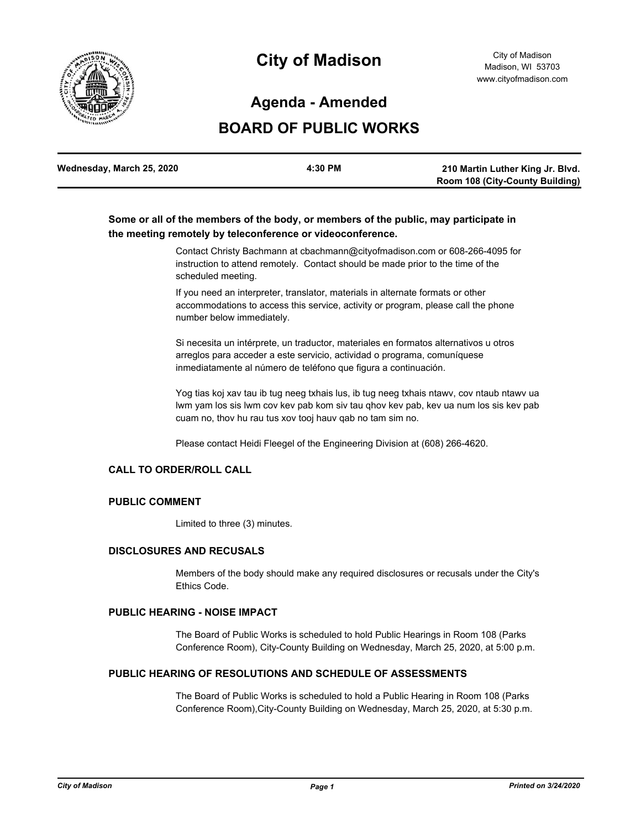

# **City of Madison**

## **Agenda - Amended**

## **BOARD OF PUBLIC WORKS**

| Wednesday, March 25, 2020 | 4:30 PM | 210 Martin Luther King Jr. Blvd.       |
|---------------------------|---------|----------------------------------------|
|                           |         | <b>Room 108 (City-County Building)</b> |

## **Some or all of the members of the body, or members of the public, may participate in the meeting remotely by teleconference or videoconference.**

Contact Christy Bachmann at cbachmann@cityofmadison.com or 608-266-4095 for instruction to attend remotely. Contact should be made prior to the time of the scheduled meeting.

If you need an interpreter, translator, materials in alternate formats or other accommodations to access this service, activity or program, please call the phone number below immediately.

Si necesita un intérprete, un traductor, materiales en formatos alternativos u otros arreglos para acceder a este servicio, actividad o programa, comuníquese inmediatamente al número de teléfono que figura a continuación.

Yog tias koj xav tau ib tug neeg txhais lus, ib tug neeg txhais ntawv, cov ntaub ntawv ua lwm yam los sis lwm cov kev pab kom siv tau qhov kev pab, kev ua num los sis kev pab cuam no, thov hu rau tus xov tooj hauv qab no tam sim no.

Please contact Heidi Fleegel of the Engineering Division at (608) 266-4620.

#### **CALL TO ORDER/ROLL CALL**

### **PUBLIC COMMENT**

Limited to three (3) minutes.

#### **DISCLOSURES AND RECUSALS**

Members of the body should make any required disclosures or recusals under the City's Ethics Code.

## **PUBLIC HEARING - NOISE IMPACT**

The Board of Public Works is scheduled to hold Public Hearings in Room 108 (Parks Conference Room), City-County Building on Wednesday, March 25, 2020, at 5:00 p.m.

#### **PUBLIC HEARING OF RESOLUTIONS AND SCHEDULE OF ASSESSMENTS**

The Board of Public Works is scheduled to hold a Public Hearing in Room 108 (Parks Conference Room),City-County Building on Wednesday, March 25, 2020, at 5:30 p.m.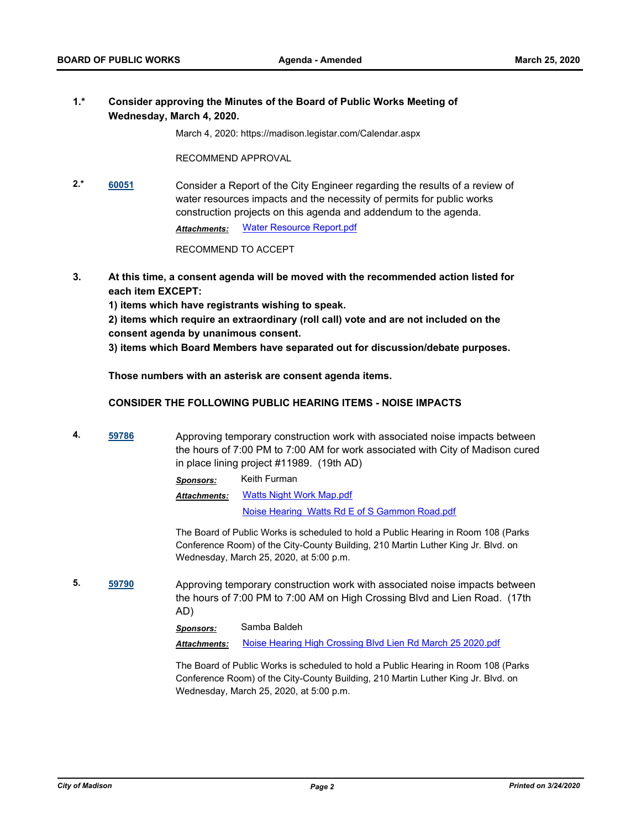### **1.\* Consider approving the Minutes of the Board of Public Works Meeting of Wednesday, March 4, 2020.**

March 4, 2020: https://madison.legistar.com/Calendar.aspx

RECOMMEND APPROVAL

**2.\* [60051](http://madison.legistar.com/gateway.aspx?m=l&id=/matter.aspx?key=70942)** Consider a Report of the City Engineer regarding the results of a review of water resources impacts and the necessity of permits for public works construction projects on this agenda and addendum to the agenda. *Attachments:* [Water Resource Report.pdf](http://madison.legistar.com/gateway.aspx?M=F&ID=ddc7485a-c09c-4d45-9dc5-6465a9034829.pdf)

RECOMMEND TO ACCEPT

**3. At this time, a consent agenda will be moved with the recommended action listed for each item EXCEPT:**

**1) items which have registrants wishing to speak.**

**2) items which require an extraordinary (roll call) vote and are not included on the consent agenda by unanimous consent.**

**3) items which Board Members have separated out for discussion/debate purposes.** 

**Those numbers with an asterisk are consent agenda items.**

#### **CONSIDER THE FOLLOWING PUBLIC HEARING ITEMS - NOISE IMPACTS**

**4. [59786](http://madison.legistar.com/gateway.aspx?m=l&id=/matter.aspx?key=70715)** Approving temporary construction work with associated noise impacts between the hours of 7:00 PM to 7:00 AM for work associated with City of Madison cured in place lining project #11989. (19th AD)

*Sponsors:* Keith Furman

[Watts Night Work Map.pdf](http://madison.legistar.com/gateway.aspx?M=F&ID=0960ab85-6d70-44da-931a-59abf9ef9653.pdf) [Noise Hearing Watts Rd E of S Gammon Road.pdf](http://madison.legistar.com/gateway.aspx?M=F&ID=5d73d98e-6e19-489d-b885-5e03bf7efba9.pdf) *Attachments:*

The Board of Public Works is scheduled to hold a Public Hearing in Room 108 (Parks Conference Room) of the City-County Building, 210 Martin Luther King Jr. Blvd. on Wednesday, March 25, 2020, at 5:00 p.m.

**5. [59790](http://madison.legistar.com/gateway.aspx?m=l&id=/matter.aspx?key=70719)** Approving temporary construction work with associated noise impacts between the hours of 7:00 PM to 7:00 AM on High Crossing Blvd and Lien Road. (17th AD)

*Sponsors:* Samba Baldeh

*Attachments:* [Noise Hearing High Crossing Blvd Lien Rd March 25 2020.pdf](http://madison.legistar.com/gateway.aspx?M=F&ID=dc5c0e67-be19-46d6-a34f-1fb98777546f.pdf)

The Board of Public Works is scheduled to hold a Public Hearing in Room 108 (Parks Conference Room) of the City-County Building, 210 Martin Luther King Jr. Blvd. on Wednesday, March 25, 2020, at 5:00 p.m.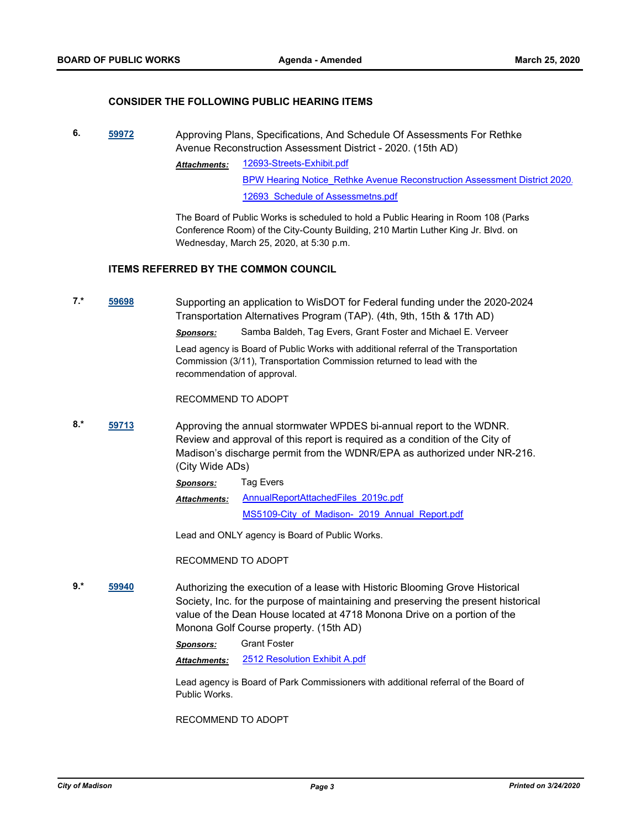#### **CONSIDER THE FOLLOWING PUBLIC HEARING ITEMS**

**6. [59972](http://madison.legistar.com/gateway.aspx?m=l&id=/matter.aspx?key=70879)** Approving Plans, Specifications, And Schedule Of Assessments For Rethke Avenue Reconstruction Assessment District - 2020. (15th AD)

> [12693-Streets-Exhibit.pdf](http://madison.legistar.com/gateway.aspx?M=F&ID=32dd9e66-f119-4856-802d-84cd1bac1669.pdf) BPW Hearing Notice Rethke Avenue Reconstruction Assessment District 2020. 12693 Schedule of Assessmetns.pdf *Attachments:*

The Board of Public Works is scheduled to hold a Public Hearing in Room 108 (Parks Conference Room) of the City-County Building, 210 Martin Luther King Jr. Blvd. on Wednesday, March 25, 2020, at 5:30 p.m.

#### **ITEMS REFERRED BY THE COMMON COUNCIL**

**7.\* [59698](http://madison.legistar.com/gateway.aspx?m=l&id=/matter.aspx?key=70649)** Supporting an application to WisDOT for Federal funding under the 2020-2024 Transportation Alternatives Program (TAP). (4th, 9th, 15th & 17th AD)

*Sponsors:* Samba Baldeh, Tag Evers, Grant Foster and Michael E. Verveer

Lead agency is Board of Public Works with additional referral of the Transportation Commission (3/11), Transportation Commission returned to lead with the recommendation of approval.

RECOMMEND TO ADOPT

**8.\* [59713](http://madison.legistar.com/gateway.aspx?m=l&id=/matter.aspx?key=70664)** Approving the annual stormwater WPDES bi-annual report to the WDNR. Review and approval of this report is required as a condition of the City of Madison's discharge permit from the WDNR/EPA as authorized under NR-216. (City Wide ADs)

> *Sponsors:* Tag Evers [AnnualReportAttachedFiles\\_2019c.pdf](http://madison.legistar.com/gateway.aspx?M=F&ID=870aa6dc-e027-454f-a45b-be9bab72ba99.pdf) [MS5109-City\\_of\\_Madison-\\_2019\\_Annual\\_Report.pdf](http://madison.legistar.com/gateway.aspx?M=F&ID=9b93bd9e-03a2-47aa-856e-bfb6fe36dff9.pdf) *Attachments:*

Lead and ONLY agency is Board of Public Works.

RECOMMEND TO ADOPT

**9.\* [59940](http://madison.legistar.com/gateway.aspx?m=l&id=/matter.aspx?key=70847)** Authorizing the execution of a lease with Historic Blooming Grove Historical Society, Inc. for the purpose of maintaining and preserving the present historical value of the Dean House located at 4718 Monona Drive on a portion of the Monona Golf Course property. (15th AD)

*Sponsors:* Grant Foster

*Attachments:* [2512 Resolution Exhibit A.pdf](http://madison.legistar.com/gateway.aspx?M=F&ID=8226b022-f0eb-4540-861d-4d2415e5c403.pdf)

Lead agency is Board of Park Commissioners with additional referral of the Board of Public Works.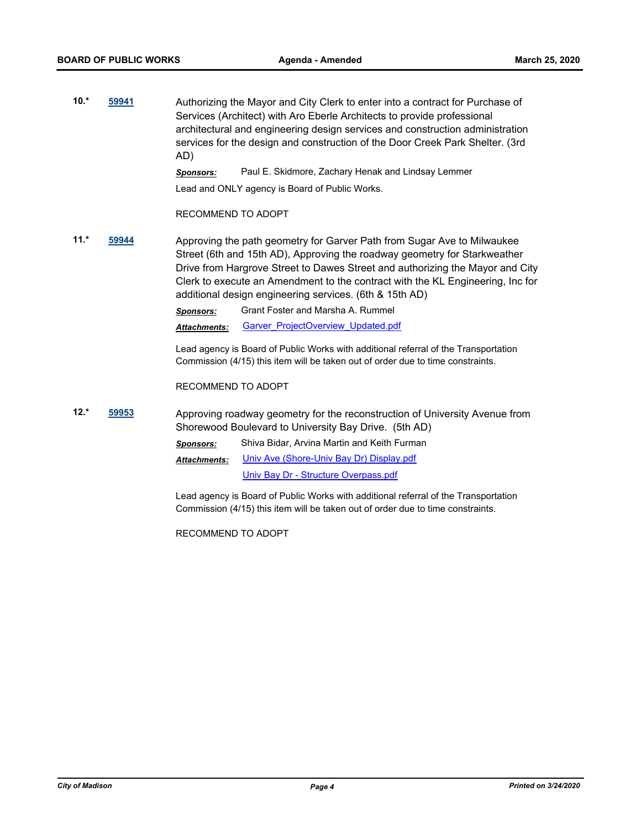**10.\* [59941](http://madison.legistar.com/gateway.aspx?m=l&id=/matter.aspx?key=70848)** Authorizing the Mayor and City Clerk to enter into a contract for Purchase of Services (Architect) with Aro Eberle Architects to provide professional architectural and engineering design services and construction administration services for the design and construction of the Door Creek Park Shelter. (3rd AD)

*Sponsors:* Paul E. Skidmore, Zachary Henak and Lindsay Lemmer

Lead and ONLY agency is Board of Public Works.

RECOMMEND TO ADOPT

**11.\* [59944](http://madison.legistar.com/gateway.aspx?m=l&id=/matter.aspx?key=70851)** Approving the path geometry for Garver Path from Sugar Ave to Milwaukee Street (6th and 15th AD), Approving the roadway geometry for Starkweather Drive from Hargrove Street to Dawes Street and authorizing the Mayor and City Clerk to execute an Amendment to the contract with the KL Engineering, Inc for additional design engineering services. (6th & 15th AD)

*Sponsors:* Grant Foster and Marsha A. Rummel

*Attachments:* [Garver\\_ProjectOverview\\_Updated.pdf](http://madison.legistar.com/gateway.aspx?M=F&ID=7349618e-0f77-486b-95ca-b5a414ab3de6.pdf)

Lead agency is Board of Public Works with additional referral of the Transportation Commission (4/15) this item will be taken out of order due to time constraints.

RECOMMEND TO ADOPT

**12.\* [59953](http://madison.legistar.com/gateway.aspx?m=l&id=/matter.aspx?key=70860)** Approving roadway geometry for the reconstruction of University Avenue from Shorewood Boulevard to University Bay Drive. (5th AD) *Sponsors:* Shiva Bidar, Arvina Martin and Keith Furman [Univ Ave \(Shore-Univ Bay Dr\) Display.pdf](http://madison.legistar.com/gateway.aspx?M=F&ID=cb28766d-8c05-4600-93f2-dd7e2c14a41c.pdf) *Attachments:*

[Univ Bay Dr - Structure Overpass.pdf](http://madison.legistar.com/gateway.aspx?M=F&ID=e6605b42-1b48-4774-83ce-27e735121d68.pdf)

Lead agency is Board of Public Works with additional referral of the Transportation Commission (4/15) this item will be taken out of order due to time constraints.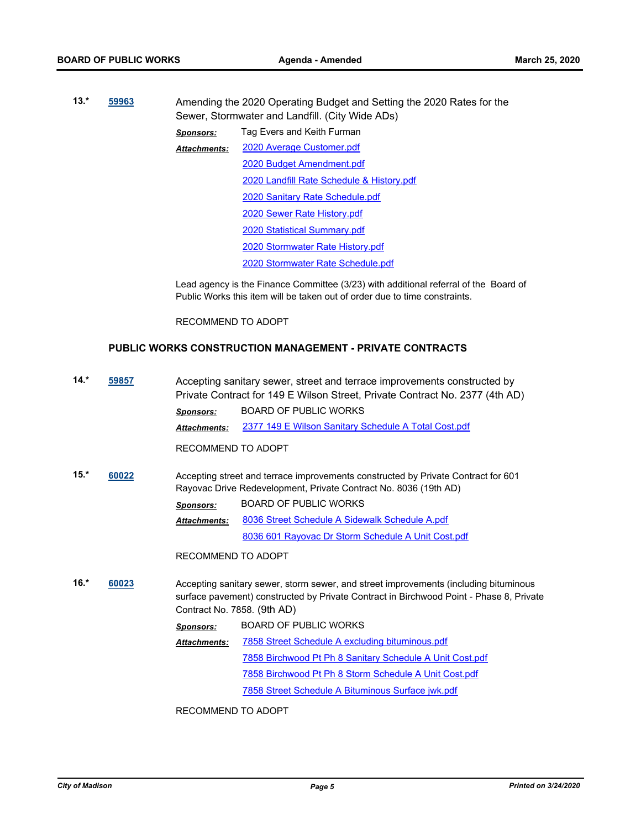| $13.*$<br>59963 |  | Amending the 2020 Operating Budget and Setting the 2020 Rates for the<br>Sewer, Stormwater and Landfill. (City Wide ADs) |                                           |  |
|-----------------|--|--------------------------------------------------------------------------------------------------------------------------|-------------------------------------------|--|
|                 |  | <b>Sponsors:</b>                                                                                                         | Tag Evers and Keith Furman                |  |
|                 |  | <b>Attachments:</b>                                                                                                      | 2020 Average Customer.pdf                 |  |
|                 |  |                                                                                                                          | 2020 Budget Amendment.pdf                 |  |
|                 |  |                                                                                                                          | 2020 Landfill Rate Schedule & History.pdf |  |
|                 |  |                                                                                                                          | 2020 Sanitary Rate Schedule.pdf           |  |
|                 |  |                                                                                                                          | 2020 Sewer Rate History.pdf               |  |
|                 |  |                                                                                                                          | 2020 Statistical Summary.pdf              |  |
|                 |  |                                                                                                                          | 2020 Stormwater Rate History.pdf          |  |
|                 |  |                                                                                                                          | 2020 Stormwater Rate Schedule.pdf         |  |

Lead agency is the Finance Committee (3/23) with additional referral of the Board of Public Works this item will be taken out of order due to time constraints.

RECOMMEND TO ADOPT

## **PUBLIC WORKS CONSTRUCTION MANAGEMENT - PRIVATE CONTRACTS**

| $14.*$          | 59857                                |                     | Accepting sanitary sewer, street and terrace improvements constructed by<br>Private Contract for 149 E Wilson Street, Private Contract No. 2377 (4th AD)                        |
|-----------------|--------------------------------------|---------------------|---------------------------------------------------------------------------------------------------------------------------------------------------------------------------------|
|                 |                                      | <b>Sponsors:</b>    | <b>BOARD OF PUBLIC WORKS</b>                                                                                                                                                    |
|                 |                                      | <b>Attachments:</b> | 2377 149 E Wilson Sanitary Schedule A Total Cost.pdf                                                                                                                            |
|                 |                                      | RECOMMEND TO ADOPT  |                                                                                                                                                                                 |
| $15.*$<br>60022 |                                      |                     | Accepting street and terrace improvements constructed by Private Contract for 601<br>Rayovac Drive Redevelopment, Private Contract No. 8036 (19th AD)                           |
|                 |                                      | <b>Sponsors:</b>    | BOARD OF PUBLIC WORKS                                                                                                                                                           |
|                 |                                      | <b>Attachments:</b> | 8036 Street Schedule A Sidewalk Schedule A.pdf                                                                                                                                  |
|                 |                                      |                     | 8036 601 Rayovac Dr Storm Schedule A Unit Cost.pdf                                                                                                                              |
|                 |                                      | RECOMMEND TO ADOPT  |                                                                                                                                                                                 |
| $16.*$          | 60023<br>Contract No. 7858. (9th AD) |                     | Accepting sanitary sewer, storm sewer, and street improvements (including bituminous<br>surface pavement) constructed by Private Contract in Birchwood Point - Phase 8, Private |
|                 |                                      | <b>Sponsors:</b>    | <b>BOARD OF PUBLIC WORKS</b>                                                                                                                                                    |
|                 |                                      | <b>Attachments:</b> | 7858 Street Schedule A excluding bituminous.pdf                                                                                                                                 |
|                 |                                      |                     | 7858 Birchwood Pt Ph 8 Sanitary Schedule A Unit Cost.pdf                                                                                                                        |
|                 |                                      |                     | 7858 Birchwood Pt Ph 8 Storm Schedule A Unit Cost.pdf                                                                                                                           |
|                 |                                      |                     | 7858 Street Schedule A Bituminous Surface jwk.pdf                                                                                                                               |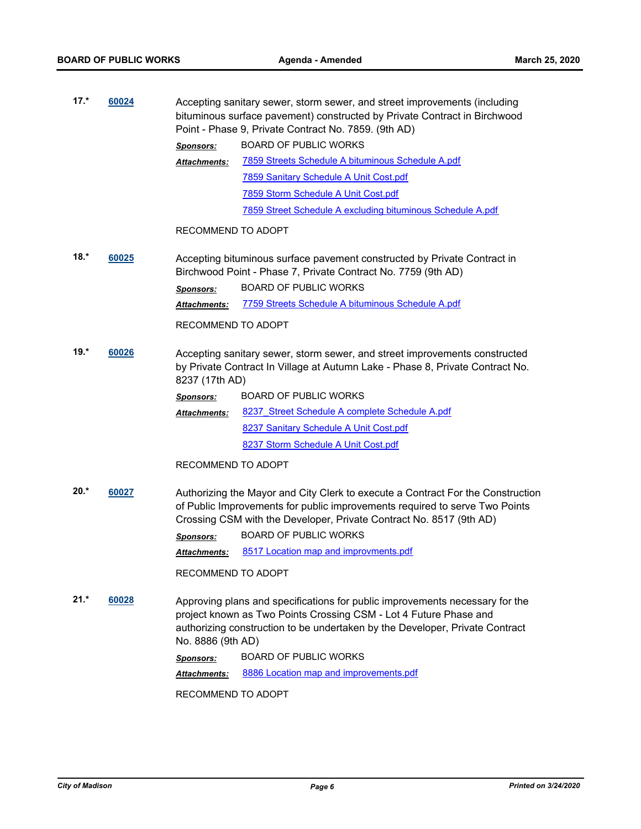| $17.*$                               | 60024<br>Point - Phase 9, Private Contract No. 7859. (9th AD) |                                                                                                                                                                                                                                   | Accepting sanitary sewer, storm sewer, and street improvements (including<br>bituminous surface pavement) constructed by Private Contract in Birchwood                                                                                |
|--------------------------------------|---------------------------------------------------------------|-----------------------------------------------------------------------------------------------------------------------------------------------------------------------------------------------------------------------------------|---------------------------------------------------------------------------------------------------------------------------------------------------------------------------------------------------------------------------------------|
|                                      |                                                               | <b>Sponsors:</b>                                                                                                                                                                                                                  | <b>BOARD OF PUBLIC WORKS</b>                                                                                                                                                                                                          |
|                                      |                                                               | <b>Attachments:</b>                                                                                                                                                                                                               | 7859 Streets Schedule A bituminous Schedule A.pdf                                                                                                                                                                                     |
|                                      |                                                               |                                                                                                                                                                                                                                   | 7859 Sanitary Schedule A Unit Cost.pdf                                                                                                                                                                                                |
|                                      |                                                               |                                                                                                                                                                                                                                   | 7859 Storm Schedule A Unit Cost.pdf                                                                                                                                                                                                   |
|                                      |                                                               |                                                                                                                                                                                                                                   | 7859 Street Schedule A excluding bituminous Schedule A.pdf                                                                                                                                                                            |
|                                      |                                                               | RECOMMEND TO ADOPT                                                                                                                                                                                                                |                                                                                                                                                                                                                                       |
| $18.*$<br>60025                      |                                                               |                                                                                                                                                                                                                                   | Accepting bituminous surface pavement constructed by Private Contract in<br>Birchwood Point - Phase 7, Private Contract No. 7759 (9th AD)                                                                                             |
|                                      |                                                               | <b>Sponsors:</b>                                                                                                                                                                                                                  | <b>BOARD OF PUBLIC WORKS</b>                                                                                                                                                                                                          |
|                                      |                                                               | <b>Attachments:</b>                                                                                                                                                                                                               | 7759 Streets Schedule A bituminous Schedule A.pdf                                                                                                                                                                                     |
|                                      |                                                               | RECOMMEND TO ADOPT                                                                                                                                                                                                                |                                                                                                                                                                                                                                       |
| $19.*$<br>60026                      |                                                               | Accepting sanitary sewer, storm sewer, and street improvements constructed<br>by Private Contract In Village at Autumn Lake - Phase 8, Private Contract No.<br>8237 (17th AD)                                                     |                                                                                                                                                                                                                                       |
|                                      |                                                               | Sponsors:                                                                                                                                                                                                                         | <b>BOARD OF PUBLIC WORKS</b>                                                                                                                                                                                                          |
|                                      |                                                               | Attachments:                                                                                                                                                                                                                      | 8237 Street Schedule A complete Schedule A.pdf                                                                                                                                                                                        |
|                                      |                                                               |                                                                                                                                                                                                                                   | 8237 Sanitary Schedule A Unit Cost.pdf                                                                                                                                                                                                |
|                                      |                                                               |                                                                                                                                                                                                                                   | 8237 Storm Schedule A Unit Cost.pdf                                                                                                                                                                                                   |
|                                      |                                                               | RECOMMEND TO ADOPT                                                                                                                                                                                                                |                                                                                                                                                                                                                                       |
| $20.*$<br>60027                      |                                                               |                                                                                                                                                                                                                                   | Authorizing the Mayor and City Clerk to execute a Contract For the Construction<br>of Public Improvements for public improvements required to serve Two Points<br>Crossing CSM with the Developer, Private Contract No. 8517 (9th AD) |
|                                      |                                                               | Sponsors:                                                                                                                                                                                                                         | <b>BOARD OF PUBLIC WORKS</b>                                                                                                                                                                                                          |
|                                      |                                                               | <b>Attachments:</b>                                                                                                                                                                                                               | 8517 Location map and improvments.pdf                                                                                                                                                                                                 |
|                                      |                                                               | RECOMMEND TO ADOPT                                                                                                                                                                                                                |                                                                                                                                                                                                                                       |
| $21.*$<br>60028<br>No. 8886 (9th AD) |                                                               | Approving plans and specifications for public improvements necessary for the<br>project known as Two Points Crossing CSM - Lot 4 Future Phase and<br>authorizing construction to be undertaken by the Developer, Private Contract |                                                                                                                                                                                                                                       |
|                                      |                                                               | <b>Sponsors:</b>                                                                                                                                                                                                                  | <b>BOARD OF PUBLIC WORKS</b>                                                                                                                                                                                                          |
|                                      |                                                               | Attachments:                                                                                                                                                                                                                      | 8886 Location map and improvements.pdf                                                                                                                                                                                                |
|                                      |                                                               | RECOMMEND TO ADOPT                                                                                                                                                                                                                |                                                                                                                                                                                                                                       |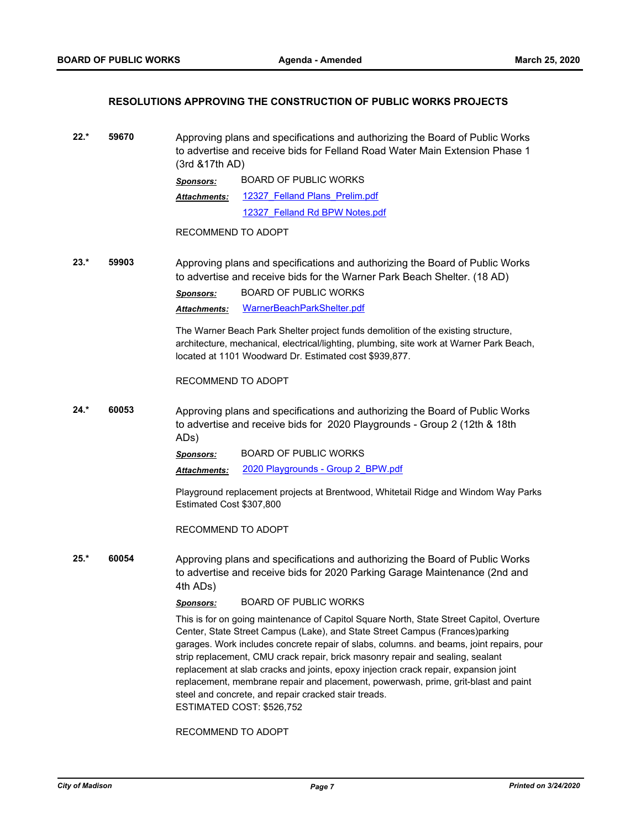#### **RESOLUTIONS APPROVING THE CONSTRUCTION OF PUBLIC WORKS PROJECTS**

**22.\* 59670** Approving plans and specifications and authorizing the Board of Public Works to advertise and receive bids for Felland Road Water Main Extension Phase 1 (3rd &17th AD)

| Sponsors:    | <b>BOARD OF PUBLIC WORKS</b>   |  |
|--------------|--------------------------------|--|
| Attachments: | 12327 Felland Plans Prelim.pdf |  |
|              | 12327 Felland Rd BPW Notes.pdf |  |

RECOMMEND TO ADOPT

**23.\* 59903** Approving plans and specifications and authorizing the Board of Public Works to advertise and receive bids for the Warner Park Beach Shelter. (18 AD)

*Sponsors:* BOARD OF PUBLIC WORKS

*Attachments:* [WarnerBeachParkShelter.pdf](http://madison.legistar.com/gateway.aspx?M=F&ID=ece03c24-0655-43b2-92f6-d53d5ae85c98.pdf)

The Warner Beach Park Shelter project funds demolition of the existing structure, architecture, mechanical, electrical/lighting, plumbing, site work at Warner Park Beach, located at 1101 Woodward Dr. Estimated cost \$939,877.

RECOMMEND TO ADOPT

**24.\* 60053** Approving plans and specifications and authorizing the Board of Public Works to advertise and receive bids for 2020 Playgrounds - Group 2 (12th & 18th ADs)

*Sponsors:* BOARD OF PUBLIC WORKS

*Attachments:* [2020 Playgrounds - Group 2\\_BPW.pdf](http://madison.legistar.com/gateway.aspx?M=F&ID=e3e17b0d-abd4-4987-9601-806f3e0d0c9e.pdf)

Playground replacement projects at Brentwood, Whitetail Ridge and Windom Way Parks Estimated Cost \$307,800

RECOMMEND TO ADOPT

**25.\* 60054** Approving plans and specifications and authorizing the Board of Public Works to advertise and receive bids for 2020 Parking Garage Maintenance (2nd and 4th ADs)

*Sponsors:* BOARD OF PUBLIC WORKS

This is for on going maintenance of Capitol Square North, State Street Capitol, Overture Center, State Street Campus (Lake), and State Street Campus (Frances)parking garages. Work includes concrete repair of slabs, columns. and beams, joint repairs, pour strip replacement, CMU crack repair, brick masonry repair and sealing, sealant replacement at slab cracks and joints, epoxy injection crack repair, expansion joint replacement, membrane repair and placement, powerwash, prime, grit-blast and paint steel and concrete, and repair cracked stair treads. ESTIMATED COST: \$526,752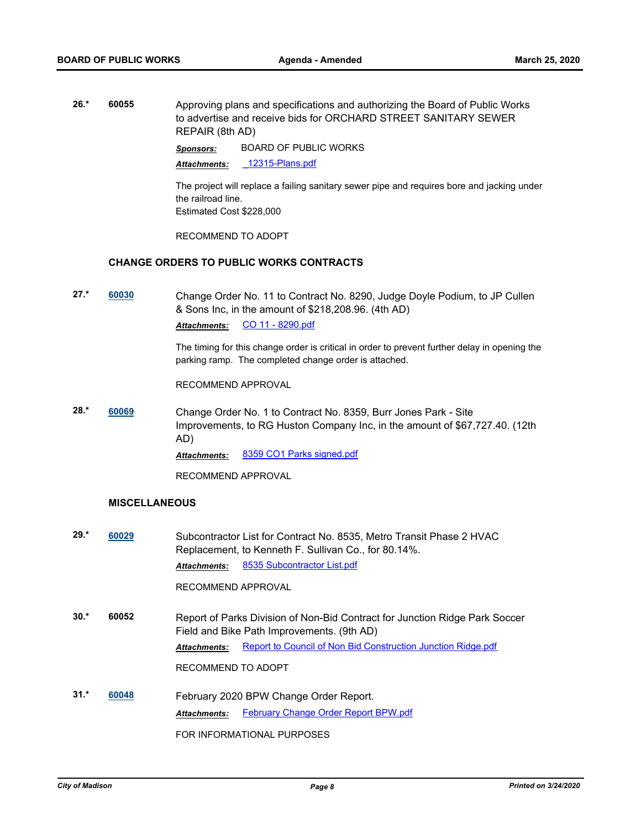**26.\* 60055** Approving plans and specifications and authorizing the Board of Public Works to advertise and receive bids for ORCHARD STREET SANITARY SEWER REPAIR (8th AD)

*Sponsors:* BOARD OF PUBLIC WORKS

*Attachments:* [\\_12315-Plans.pdf](http://madison.legistar.com/gateway.aspx?M=F&ID=ccba024c-b87c-42d7-a8ce-1f5f276b6264.pdf)

The project will replace a failing sanitary sewer pipe and requires bore and jacking under the railroad line. Estimated Cost \$228,000

RECOMMEND TO ADOPT

#### **CHANGE ORDERS TO PUBLIC WORKS CONTRACTS**

**27.\* [60030](http://madison.legistar.com/gateway.aspx?m=l&id=/matter.aspx?key=70921)** Change Order No. 11 to Contract No. 8290, Judge Doyle Podium, to JP Cullen & Sons Inc, in the amount of \$218,208.96. (4th AD) *Attachments:* [CO 11 - 8290.pdf](http://madison.legistar.com/gateway.aspx?M=F&ID=26b2a7dc-adba-4056-866b-4d20c087912f.pdf)

> The timing for this change order is critical in order to prevent further delay in opening the parking ramp. The completed change order is attached.

RECOMMEND APPROVAL

**28.\* [60069](http://madison.legistar.com/gateway.aspx?m=l&id=/matter.aspx?key=70960)** Change Order No. 1 to Contract No. 8359, Burr Jones Park - Site Improvements, to RG Huston Company Inc, in the amount of \$67,727.40. (12th AD)

*Attachments:* [8359 CO1 Parks signed.pdf](http://madison.legistar.com/gateway.aspx?M=F&ID=a0117d4e-974f-44f8-8a89-62b39a9526af.pdf)

RECOMMEND APPROVAL

#### **MISCELLANEOUS**

**29.\* [60029](http://madison.legistar.com/gateway.aspx?m=l&id=/matter.aspx?key=70920)** Subcontractor List for Contract No. 8535, Metro Transit Phase 2 HVAC Replacement, to Kenneth F. Sullivan Co., for 80.14%. *Attachments:* [8535 Subcontractor List.pdf](http://madison.legistar.com/gateway.aspx?M=F&ID=72065294-c017-40be-abb0-79b9a8d7c9bc.pdf)

RECOMMEND APPROVAL

- **30.\* 60052** Report of Parks Division of Non-Bid Contract for Junction Ridge Park Soccer Field and Bike Path Improvements. (9th AD) *Attachments:* [Report to Council of Non Bid Construction Junction Ridge.pdf](http://madison.legistar.com/gateway.aspx?M=F&ID=3dd6c653-9a51-46b5-9544-7a15be1d41a9.pdf) RECOMMEND TO ADOPT
- **31.\* [60048](http://madison.legistar.com/gateway.aspx?m=l&id=/matter.aspx?key=70939)** February 2020 BPW Change Order Report. Attachments: [February Change Order Report BPW.pdf](http://madison.legistar.com/gateway.aspx?M=F&ID=3833c745-f786-4911-9938-6db6ea95792b.pdf) FOR INFORMATIONAL PURPOSES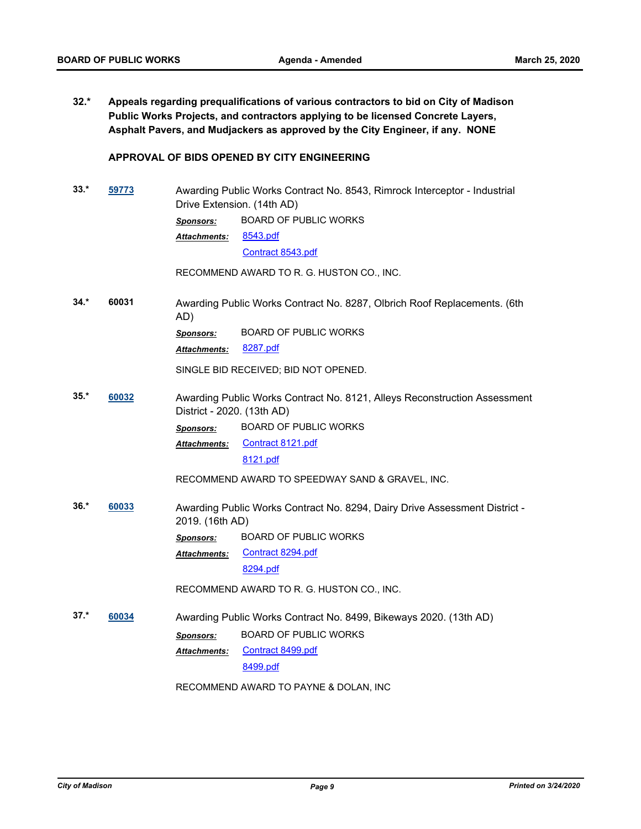**32.\* Appeals regarding prequalifications of various contractors to bid on City of Madison Public Works Projects, and contractors applying to be licensed Concrete Layers, Asphalt Pavers, and Mudjackers as approved by the City Engineer, if any. NONE**

#### **APPROVAL OF BIDS OPENED BY CITY ENGINEERING**

**33.\* [59773](http://madison.legistar.com/gateway.aspx?m=l&id=/matter.aspx?key=70702)** Awarding Public Works Contract No. 8543, Rimrock Interceptor - Industrial Drive Extension. (14th AD) *Sponsors:* BOARD OF PUBLIC WORKS [8543.pdf](http://madison.legistar.com/gateway.aspx?M=F&ID=48d3c08c-1d0b-4142-865b-10ee9204fc86.pdf) [Contract 8543.pdf](http://madison.legistar.com/gateway.aspx?M=F&ID=04143a6c-0e47-4b15-8a03-cd3d0adef5c2.pdf) *Attachments:*

RECOMMEND AWARD TO R. G. HUSTON CO., INC.

**34.\* 60031** Awarding Public Works Contract No. 8287, Olbrich Roof Replacements. (6th AD) *Sponsors:* BOARD OF PUBLIC WORKS

*Attachments:* [8287.pdf](http://madison.legistar.com/gateway.aspx?M=F&ID=71171ca0-6c86-4000-a784-a7cf06104251.pdf)

SINGLE BID RECEIVED; BID NOT OPENED.

**35.\* [60032](http://madison.legistar.com/gateway.aspx?m=l&id=/matter.aspx?key=70923)** Awarding Public Works Contract No. 8121, Alleys Reconstruction Assessment District - 2020. (13th AD) *Sponsors:* BOARD OF PUBLIC WORKS [Contract 8121.pdf](http://madison.legistar.com/gateway.aspx?M=F&ID=0d602915-6175-4006-802a-fa9eaa37fd00.pdf) *Attachments:*

[8121.pdf](http://madison.legistar.com/gateway.aspx?M=F&ID=0ccfe56b-dfd5-4547-a3f5-38ddafdcdd04.pdf)

RECOMMEND AWARD TO SPEEDWAY SAND & GRAVEL, INC.

- **36.\* [60033](http://madison.legistar.com/gateway.aspx?m=l&id=/matter.aspx?key=70924)** Awarding Public Works Contract No. 8294, Dairy Drive Assessment District 2019. (16th AD)
	- *Sponsors:* BOARD OF PUBLIC WORKS

[Contract 8294.pdf](http://madison.legistar.com/gateway.aspx?M=F&ID=2018f29a-fe85-4499-917b-c963aea4c9d8.pdf) [8294.pdf](http://madison.legistar.com/gateway.aspx?M=F&ID=5d87a9f6-9331-41e5-b3e9-878a059fc28b.pdf) *Attachments:*

RECOMMEND AWARD TO R. G. HUSTON CO., INC.

**37.\* [60034](http://madison.legistar.com/gateway.aspx?m=l&id=/matter.aspx?key=70925)** Awarding Public Works Contract No. 8499, Bikeways 2020. (13th AD) *Sponsors:* BOARD OF PUBLIC WORKS

[Contract 8499.pdf](http://madison.legistar.com/gateway.aspx?M=F&ID=1447f0a2-97d8-4cbb-a22a-44f2ba4e462d.pdf) *Attachments:*

[8499.pdf](http://madison.legistar.com/gateway.aspx?M=F&ID=8a0360a5-97e0-4402-9517-2cd853bfcc00.pdf)

RECOMMEND AWARD TO PAYNE & DOLAN, INC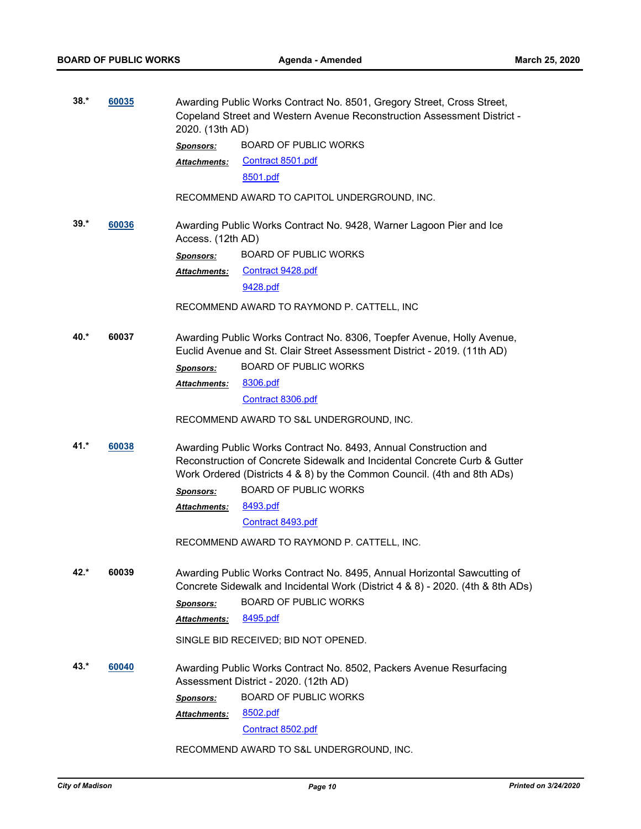| $38.*$ | 60035 | Awarding Public Works Contract No. 8501, Gregory Street, Cross Street,<br>Copeland Street and Western Avenue Reconstruction Assessment District -<br>2020. (13th AD) |                                                                                                                                                                                                                          |
|--------|-------|----------------------------------------------------------------------------------------------------------------------------------------------------------------------|--------------------------------------------------------------------------------------------------------------------------------------------------------------------------------------------------------------------------|
|        |       | <b>Sponsors:</b>                                                                                                                                                     | <b>BOARD OF PUBLIC WORKS</b>                                                                                                                                                                                             |
|        |       | <b>Attachments:</b>                                                                                                                                                  | Contract 8501.pdf                                                                                                                                                                                                        |
|        |       |                                                                                                                                                                      | 8501.pdf                                                                                                                                                                                                                 |
|        |       |                                                                                                                                                                      | RECOMMEND AWARD TO CAPITOL UNDERGROUND, INC.                                                                                                                                                                             |
| $39.*$ | 60036 | Access. (12th AD)                                                                                                                                                    | Awarding Public Works Contract No. 9428, Warner Lagoon Pier and Ice                                                                                                                                                      |
|        |       | <b>Sponsors:</b>                                                                                                                                                     | <b>BOARD OF PUBLIC WORKS</b>                                                                                                                                                                                             |
|        |       | Attachments:                                                                                                                                                         | Contract 9428.pdf                                                                                                                                                                                                        |
|        |       |                                                                                                                                                                      | 9428.pdf                                                                                                                                                                                                                 |
|        |       |                                                                                                                                                                      | RECOMMEND AWARD TO RAYMOND P. CATTELL, INC                                                                                                                                                                               |
| 40.*   | 60037 |                                                                                                                                                                      | Awarding Public Works Contract No. 8306, Toepfer Avenue, Holly Avenue,<br>Euclid Avenue and St. Clair Street Assessment District - 2019. (11th AD)                                                                       |
|        |       | <b>Sponsors:</b>                                                                                                                                                     | <b>BOARD OF PUBLIC WORKS</b>                                                                                                                                                                                             |
|        |       | <b>Attachments:</b>                                                                                                                                                  | 8306.pdf                                                                                                                                                                                                                 |
|        |       |                                                                                                                                                                      | Contract 8306.pdf                                                                                                                                                                                                        |
|        |       |                                                                                                                                                                      | RECOMMEND AWARD TO S&L UNDERGROUND, INC.                                                                                                                                                                                 |
| $41.*$ | 60038 |                                                                                                                                                                      | Awarding Public Works Contract No. 8493, Annual Construction and<br>Reconstruction of Concrete Sidewalk and Incidental Concrete Curb & Gutter<br>Work Ordered (Districts 4 & 8) by the Common Council. (4th and 8th ADs) |
|        |       | <b>Sponsors:</b>                                                                                                                                                     | <b>BOARD OF PUBLIC WORKS</b>                                                                                                                                                                                             |
|        |       | <b>Attachments:</b>                                                                                                                                                  | 8493.pdf                                                                                                                                                                                                                 |
|        |       |                                                                                                                                                                      | Contract 8493.pdf                                                                                                                                                                                                        |
|        |       |                                                                                                                                                                      | RECOMMEND AWARD TO RAYMOND P. CATTELL, INC.                                                                                                                                                                              |
| 42.*   | 60039 |                                                                                                                                                                      | Awarding Public Works Contract No. 8495, Annual Horizontal Sawcutting of<br>Concrete Sidewalk and Incidental Work (District 4 & 8) - 2020. (4th & 8th ADs)                                                               |
|        |       | <b>Sponsors:</b>                                                                                                                                                     | <b>BOARD OF PUBLIC WORKS</b>                                                                                                                                                                                             |
|        |       | Attachments:                                                                                                                                                         | 8495.pdf                                                                                                                                                                                                                 |
|        |       |                                                                                                                                                                      | SINGLE BID RECEIVED; BID NOT OPENED.                                                                                                                                                                                     |
| $43.*$ | 60040 |                                                                                                                                                                      | Awarding Public Works Contract No. 8502, Packers Avenue Resurfacing<br>Assessment District - 2020. (12th AD)                                                                                                             |
|        |       | <b>Sponsors:</b>                                                                                                                                                     | <b>BOARD OF PUBLIC WORKS</b>                                                                                                                                                                                             |
|        |       | Attachments:                                                                                                                                                         | 8502.pdf                                                                                                                                                                                                                 |
|        |       |                                                                                                                                                                      | Contract 8502.pdf                                                                                                                                                                                                        |
|        |       |                                                                                                                                                                      | RECOMMEND AWARD TO S&L UNDERGROUND, INC.                                                                                                                                                                                 |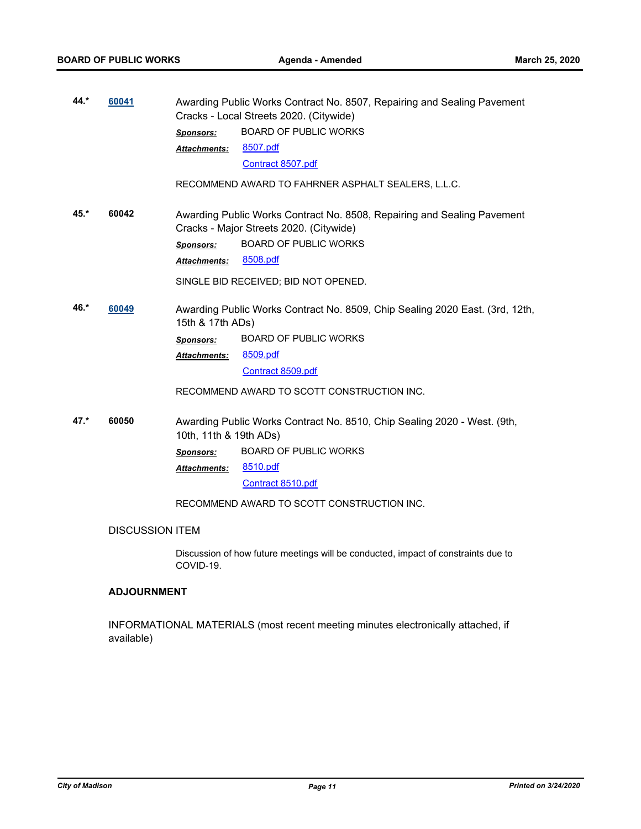| 44.*                                                       | 60041<br>Awarding Public Works Contract No. 8507, Repairing and Sealing Pavement<br>Cracks - Local Streets 2020. (Citywide) |                                                                         |                                                                              |
|------------------------------------------------------------|-----------------------------------------------------------------------------------------------------------------------------|-------------------------------------------------------------------------|------------------------------------------------------------------------------|
|                                                            |                                                                                                                             | Sponsors:                                                               | <b>BOARD OF PUBLIC WORKS</b>                                                 |
|                                                            |                                                                                                                             | <b>Attachments:</b>                                                     | 8507.pdf                                                                     |
|                                                            |                                                                                                                             |                                                                         | Contract 8507.pdf                                                            |
|                                                            |                                                                                                                             |                                                                         | RECOMMEND AWARD TO FAHRNER ASPHALT SEALERS, L.L.C.                           |
| 60042<br>$45.*$<br>Cracks - Major Streets 2020. (Citywide) |                                                                                                                             | Awarding Public Works Contract No. 8508, Repairing and Sealing Pavement |                                                                              |
|                                                            |                                                                                                                             | <b>Sponsors:</b>                                                        | <b>BOARD OF PUBLIC WORKS</b>                                                 |
|                                                            |                                                                                                                             | <b>Attachments:</b>                                                     | 8508.pdf                                                                     |
|                                                            |                                                                                                                             |                                                                         | SINGLE BID RECEIVED; BID NOT OPENED.                                         |
| 46.*                                                       | 60049<br>15th & 17th ADs)                                                                                                   |                                                                         | Awarding Public Works Contract No. 8509, Chip Sealing 2020 East. (3rd, 12th, |
|                                                            |                                                                                                                             | <b>Sponsors:</b>                                                        | <b>BOARD OF PUBLIC WORKS</b>                                                 |
|                                                            |                                                                                                                             | <b>Attachments:</b>                                                     | 8509.pdf                                                                     |
|                                                            |                                                                                                                             |                                                                         | Contract 8509.pdf                                                            |
|                                                            |                                                                                                                             |                                                                         | RECOMMEND AWARD TO SCOTT CONSTRUCTION INC.                                   |
| $47.*$<br>60050<br>10th, 11th & 19th ADs)                  |                                                                                                                             |                                                                         | Awarding Public Works Contract No. 8510, Chip Sealing 2020 - West. (9th,     |
|                                                            |                                                                                                                             | <b>Sponsors:</b>                                                        | <b>BOARD OF PUBLIC WORKS</b>                                                 |
|                                                            |                                                                                                                             | <b>Attachments:</b>                                                     | 8510.pdf                                                                     |
|                                                            |                                                                                                                             |                                                                         | Contract 8510.pdf                                                            |
|                                                            |                                                                                                                             |                                                                         | RECOMMEND AWARD TO SCOTT CONSTRUCTION INC.                                   |
|                                                            | <b>DISCUSSION ITEM</b>                                                                                                      |                                                                         |                                                                              |

Discussion of how future meetings will be conducted, impact of constraints due to COVID-19.

## **ADJOURNMENT**

INFORMATIONAL MATERIALS (most recent meeting minutes electronically attached, if available)